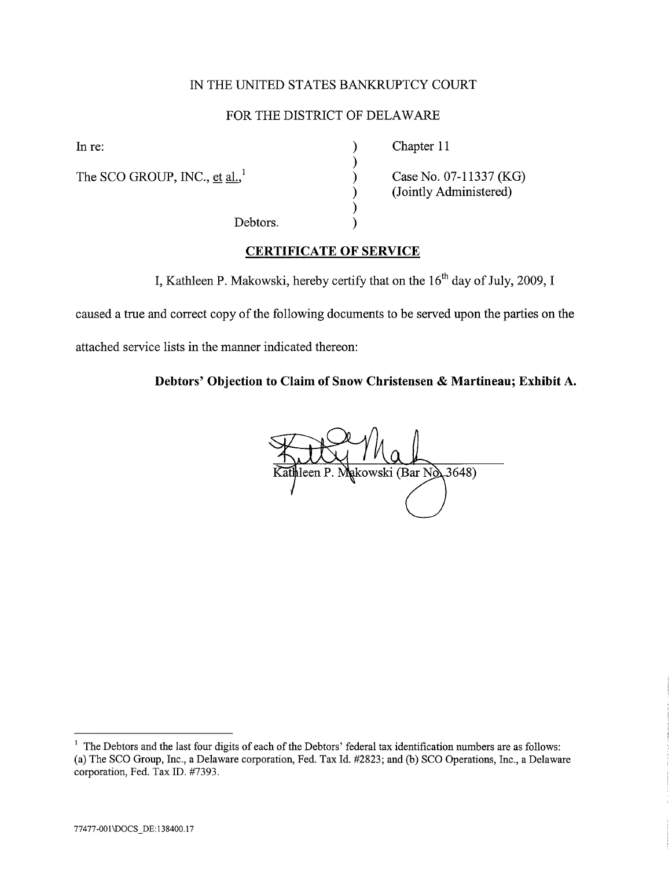# IN THE UNITED STATES BANKRUPTCY COURT

# FOR THE DISTRICT OF DELAWAR

) ) ) ) ) )

The SCO GROUP, INC., et al.,<sup>1</sup>

In re: Chapter 11

Debtors.

Case No. 07-11337 (KG) (Jointly Administered)

# CERTIFICATE OF SERVICE

I, Kathleen P. Makowski, hereby certify that on the  $16<sup>th</sup>$  day of July, 2009, I

caused a true and correct copy of the following documents to be served upon the parties on the

attached service lists in the manner indicated thereon:

Debtors' Objection to Claim of Snow Christensen & Martineau; Exhibit A.

ileen P. Makowski (Bar No. 3648)

<sup>&</sup>lt;sup>1</sup> The Debtors and the last four digits of each of the Debtors' federal tax identification numbers are as follows: (a) The SCO Group, Inc., a Delaware corporation, Fed. Tax Id. #2823; and (b) SCO Operations, Inc., a Delaware corporation, Fed. Tax ID. #7393.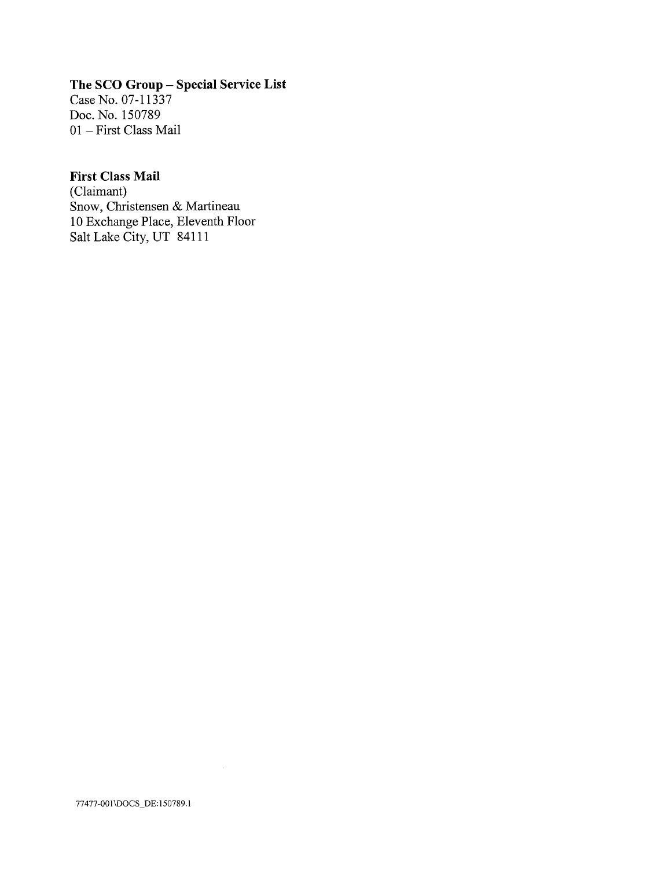# The SCO Group - Special Service List

Case No. 07-11337 Doc. No. 150789 01 - First Class Mail

## First Class Mail

(Claimant) Snow, Christensen & Martineau 10 Exchange Place, Eleventh Floor Salt Lake City, UT 84111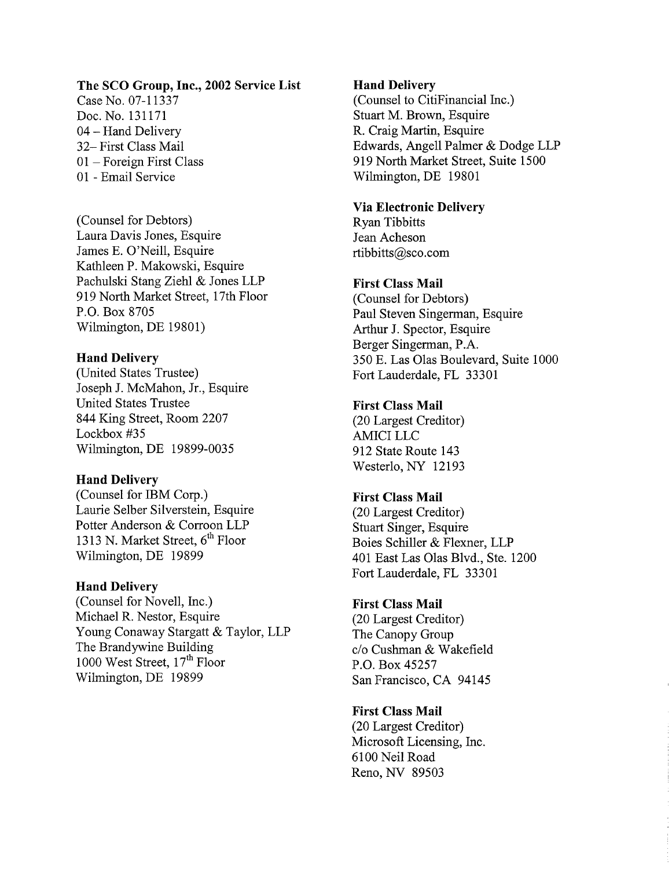### The SCO Group, Inc., 2002 Service List

Case No. 07-11337 Doc. No. 131171 04 - Hand Delivery 32- First Class Mail 01 - Foreign First Class 01 - Email Service

(Counsel for Debtors) Laura Davis Jones, Esquire James E. O'Neill, Esquire Kathleen P. Makowski, Esquire Pachulski Stang Ziehl & Jones LLP 919 North Market Street, 17th Floor P.O. Box 8705 Wilmington, DE 19801)

### Hand Delivery

(United States Trustee) Joseph J. McMahon, Jr, Esquire United States Trustee 844 King Street, Room 2207 Lockbox #35 Wilmington, DE 19899-0035

### Hand Delivery

(Counsel for IBM Corp.) Laurie SeIber Silverstein, Esquire Potter Anderson & Corroon LLP 1313 N. Market Street,  $6<sup>th</sup>$  Floor Wilmington, DE 19899

### Hand Delivery

(Counsel for Novell, Inc.) Michael R. Nestor, Esquire Young Conaway Stargatt & Taylor, LLP The Brandywine Building 1000 West Street, 17<sup>th</sup> Floor Wilmington, DE 19899

### Hand Delivery

(Counsel to CitiFinancial Inc.) Stuart M. Brown, Esquire R. Craig Martin, Esquire Edwards, Angell Palmer & Dodge LLP 919 North Market Street, Suite 1500 Wilmington, DE 19801

### Via Electronic Delivery

Ryan Tibbitts Jean Acheson rtibbitts@sco.com

### First Class Mail

(Counsel for Debtors) Paul Steven Singerman, Esquire Arhur J. Spector, Esquire Berger Singerman, P.A. 350 E. Las Olas Boulevard, Suite 1000 Fort Lauderdale, FL 33301

### First Class Mail

(20 Largest Creditor) AMICI LLC 912 State Route 143 Westerlo, NY 12193

#### First Class Mail

(20 Largest Creditor) Stuart Singer, Esquire Boies Schiller & Flexner, LLP 401 East Las Olas Blvd., Ste. 1200 Fort Lauderdale, FL 33301

#### First Class Mail

(20 Largest Creditor) The Canopy Group c/o Cushman & Wakefield P.O. Box 45257 San Francisco, CA 94145

#### First Class Mail

(20 Largest Creditor) Microsoft Licensing, Inc. 6100 Neil Road Reno, NY 89503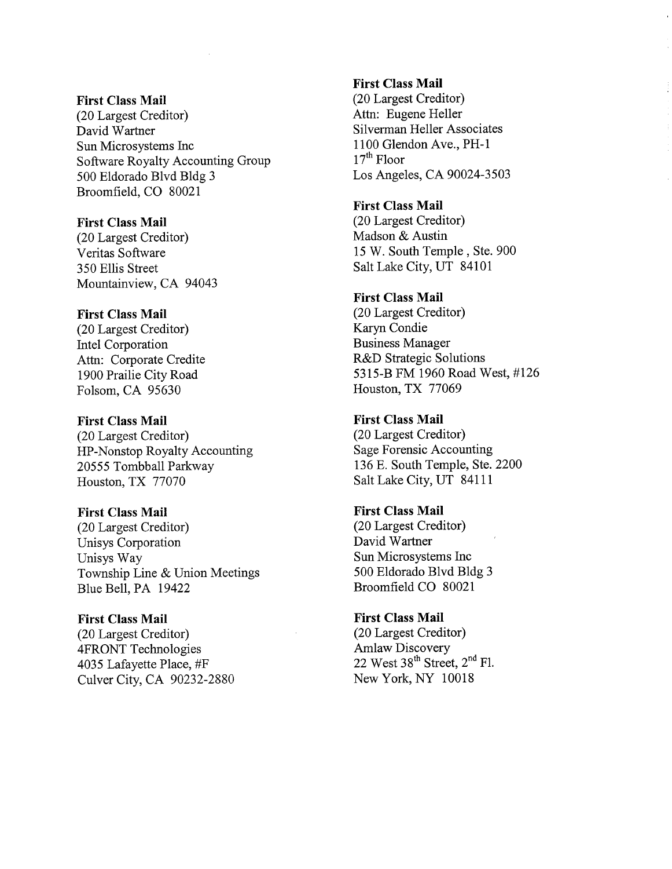#### First Class Mail

(20 Largest Creditor) David Wartner Sun Microsystems Inc Software Royalty Accounting Group 500 Eldorado Blvd Bldg 3 Broomfield, CO 80021

### First Class Mail

(20 Largest Creditor) Veritas Software 350 Ells Street Mountainview, CA 94043

### First Class Mail

(20 Largest Creditor) Intel Corporation Attn: Corporate Credite 1900 Prailie City Road Folsom, CA 95630

#### First Class Mail

(20 Largest Creditor) HP-Nonstop Royalty Accounting 20555 Tombball Parkway Houston, TX 77070

### First Class Mail

(20 Largest Creditor) Unisys Corporation Unisys Way Township Line & Union Meetings Blue Bell, PA 19422

### First Class Mail

(20 Largest Creditor) 4FRONT Technologies 4035 Lafayette Place, #F Culver City, CA 90232-2880

### First Class Mail

(20 Largest Creditor) Attn: Eugene Heller Silverman Heller Associates 1100 Glendon Ave., PH-l  $17<sup>th</sup>$  Floor Los Angeles, CA 90024-3503

### First Class Mail

(20 Largest Creditor) Madson & Austin 15 W. South Temple, Ste. 900 Salt Lake City, UT 84101

### First Class Mail

(20 Largest Creditor) Karyn Condie Business Manager R&D Strategic Solutions 5315-B FM 1960 Road West, #126 Houston, TX 77069

### First Class Mail

(20 Largest Creditor) Sage Forensic Accounting 136 E. South Temple, Ste. 2200 Salt Lake City, UT 84111

# First Class Mail (20 Largest Creditor) David Wartner Sun Microsystems Inc

500 Eldorado Blvd Bldg 3 Broomfield CO 80021

## First Class Mail (20 Largest Creditor) Amlaw Discovery 22 West  $38^{th}$  Street,  $2^{nd}$  Fl. New York, NY 10018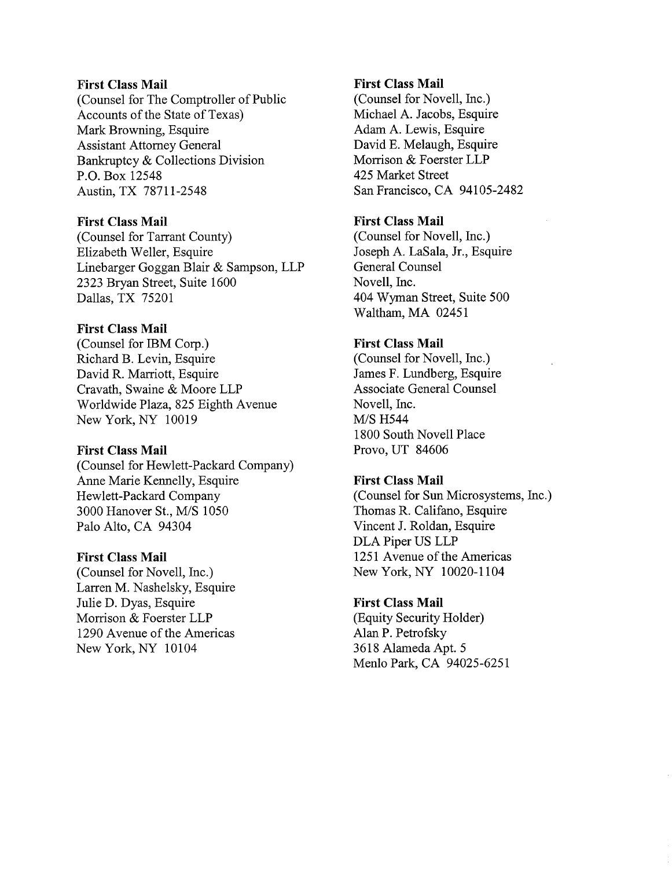### First Class Mail

(Counsel for The Comptroller of Public Accounts of the State of Texas) Mark Browning, Esquire Assistant Attorney General Bankruptcy & Collections Division P.O. Box 12548 Austin, TX 78711-2548

### First Class Mail

(Counsel for Tarrant County) Elizabeth Weller, Esquire Linebarger Goggan Blair & Sampson, LLP 2323 Bryan Street, Suite 1600 Dallas, TX 75201

### First Class Mail

(Counsel for IBM Corp.) Richard B. Levin, Esquire David R. Marriott, Esquire Cravath, Swaine & Moore LLP Worldwide Plaza, 825 Eighth Avenue New York, NY 10019

### First Class Mail

(Counsel for Hewlett-Packard Company) Anne Marie Kennelly, Esquire Hewlett-Packard Company 3000 Hanover St., M/S 1050 Palo Alto, CA 94304

### First Class Mail

(Counsel for Novell, Inc.) Larren M. Nashelsky, Esquire Julie D. Dyas, Esquire Morrison & Foerster LLP 1290 Avenue of the Americas New York, NY 10104

### First Class Mail

(Counsel for Novell, Inc.) Michael A. Jacobs, Esquire Adam A. Lewis, Esquire David E. Melaugh, Esquire Morrison & Foerster LLP 425 Market Street San Francisco, CA 94105-2482

### First Class Mail

(Counsel for Novell, Inc.) Joseph A. LaSala, Jr., Esquire General Counsel Novell, Inc. 404 Wyman Street, Suite 500 Waltham, MA 02451

### First Class Mail

(Counsel for Novell, Inc.) James F. Lundberg, Esquire Associate General Counsel Novell, Inc. M/S H544 1800 South Novell Place Provo, UT 84606

### First Class Mail

(Counsel for Sun Microsystems, Inc.) Thomas R. Califano, Esquire Vincent J. Roldan, Esquire DLA Piper US LLP 1251 Avenue of the Americas New York, NY 10020-1104

### First Class Mail

(Equity Security Holder) Alan P. Petrofsky 3618 Alameda Apt. 5 Menlo Park, CA 94025-6251